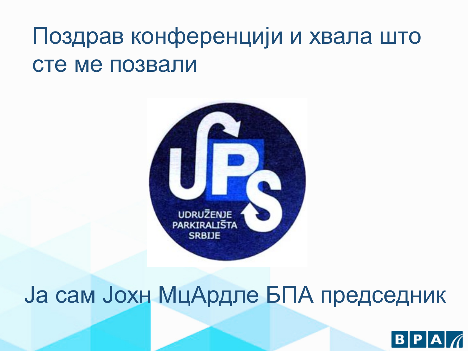## Поздрав конференцији и хвала што сте ме позвали



## Ја сам Јохн МцАрдле БПА председник

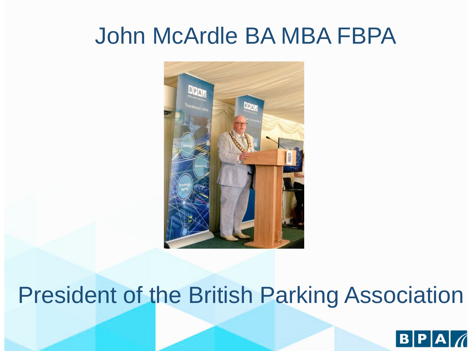## John McArdle BA MBA FBPA



## President of the British Parking Association

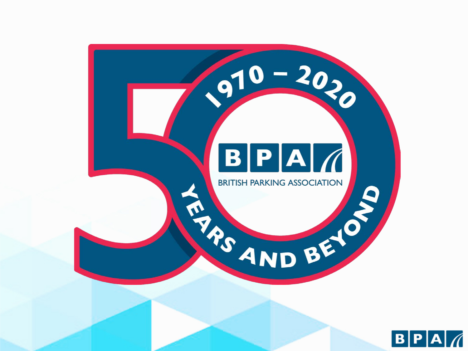

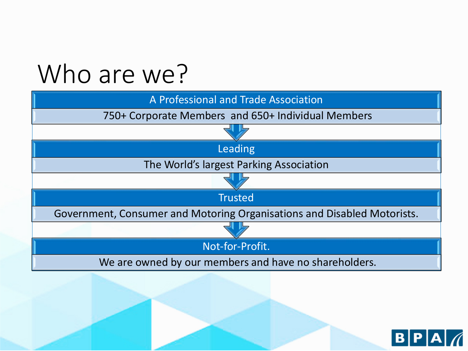## Who are we?



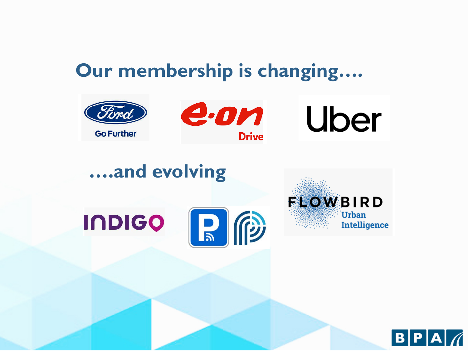### Our membership is changing....







### ....and evolving







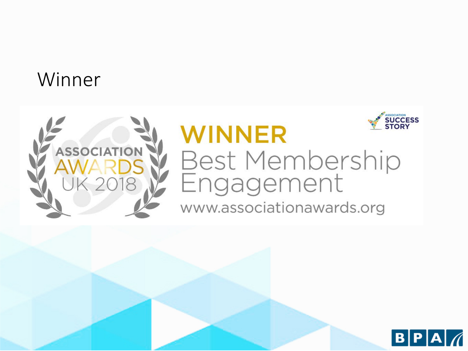### Winner



## **WINNER** Best Membership<br>Engagement www.associationawards.org



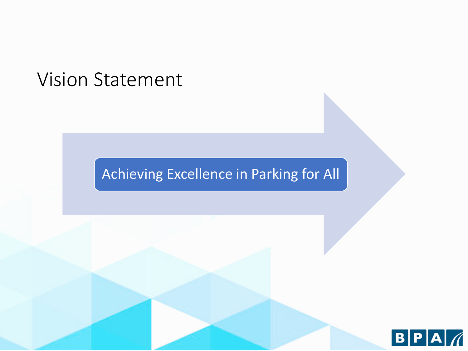### Vision Statement

#### Achieving Excellence in Parking for All

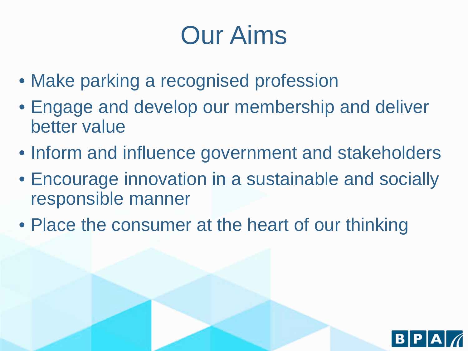## Our Aims

- Make parking a recognised profession
- Engage and develop our membership and deliver better value
- Inform and influence government and stakeholders
- Encourage innovation in a sustainable and socially responsible manner
- Place the consumer at the heart of our thinking

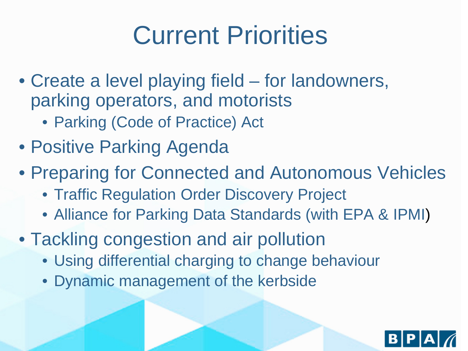## Current Priorities

- Create a level playing field for landowners, parking operators, and motorists
	- Parking (Code of Practice) Act
- Positive Parking Agenda
- Preparing for Connected and Autonomous Vehicles
	- Traffic Regulation Order Discovery Project
	- Alliance for Parking Data Standards (with EPA & IPMI)
- Tackling congestion and air pollution
	- Using differential charging to change behaviour
	- Dynamic management of the kerbside

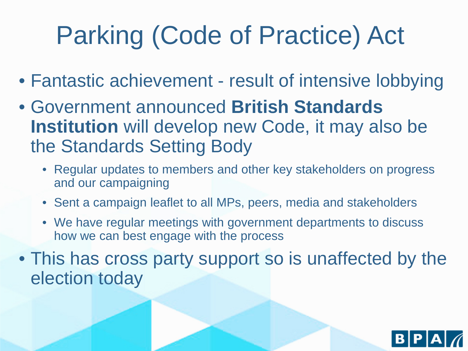## Parking (Code of Practice) Act

- Fantastic achievement result of intensive lobbying
- Government announced **British Standards Institution** will develop new Code, it may also be the Standards Setting Body
	- Regular updates to members and other key stakeholders on progress and our campaigning
	- Sent a campaign leaflet to all MPs, peers, media and stakeholders
	- We have regular meetings with government departments to discuss how we can best engage with the process
- This has cross party support so is unaffected by the election today

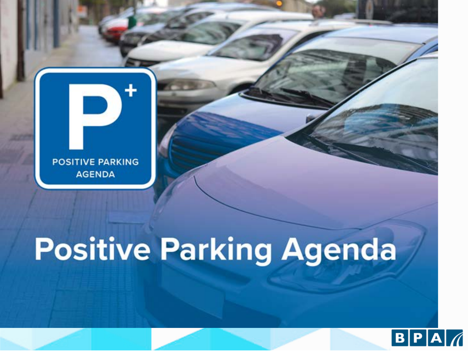

# **Positive Parking Agenda**

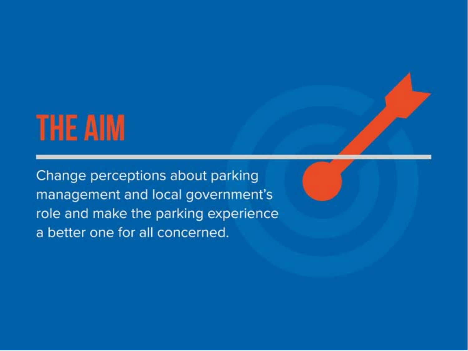## **THE AIM**

Change perceptions about parking management and local government's role and make the parking experience a better one for all concerned.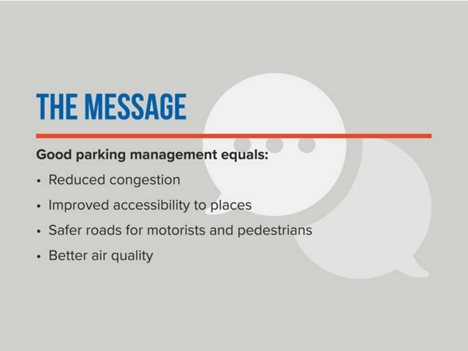# **THE MESSAGE**

#### Good parking management equals:

- Reduced congestion
- Improved accessibility to places  $\bullet$
- Safer roads for motorists and pedestrians
- Better air quality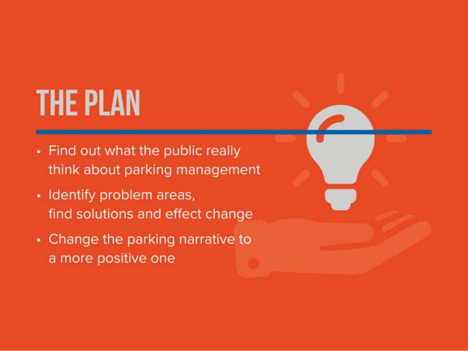# **THE PLAN**

- Find out what the public really think about parking management
- Identify problem areas, find solutions and effect change
- Change the parking narrative to a more positive one

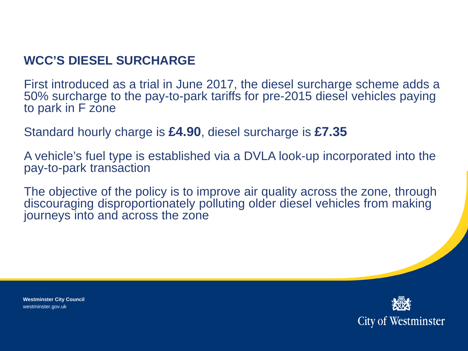#### **WCC'S DIESEL SURCHARGE**

First introduced as a trial in June 2017, the diesel surcharge scheme adds a 50% surcharge to the pay-to-park tariffs for pre-2015 diesel vehicles paying to park in F zone

Standard hourly charge is **£4.90**, diesel surcharge is **£7.35**

A vehicle's fuel type is established via a DVLA look-up incorporated into the pay-to-park transaction

The objective of the policy is to improve air quality across the zone, through discouraging disproportionately polluting older diesel vehicles from making journeys into and across the zone



**Westminster City Council** westminster.gov.uk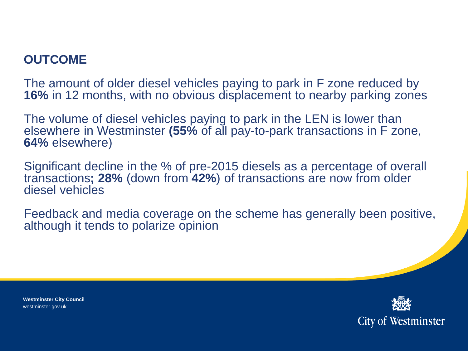#### **OUTCOME**

The amount of older diesel vehicles paying to park in F zone reduced by **16%** in 12 months, with no obvious displacement to nearby parking zones

The volume of diesel vehicles paying to park in the LEN is lower than elsewhere in Westminster **(55%** of all pay-to-park transactions in F zone, **64%** elsewhere)

Significant decline in the % of pre-2015 diesels as a percentage of overall transactions**; 28%** (down from **42%**) of transactions are now from older diesel vehicles

Feedback and media coverage on the scheme has generally been positive, although it tends to polarize opinion



**Westminster City Council** westminster.gov.uk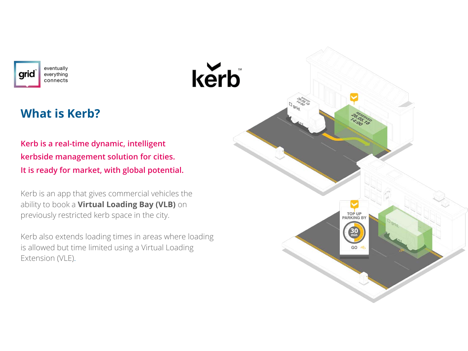eventually qrid everything connects

#### **What is Kerb?**

**Kerb is a real-time dynamic, intelligent kerbside management solution for cities. It is ready for market, with global potential.**

Kerb is an app that gives commercial vehicles the ability to book a **Virtual Loading Bay (VLB)** on previously restricted kerb space in the city.

Kerb also extends loading times in areas where loading is allowed but time limited using a Virtual Loading Extension (VLE).

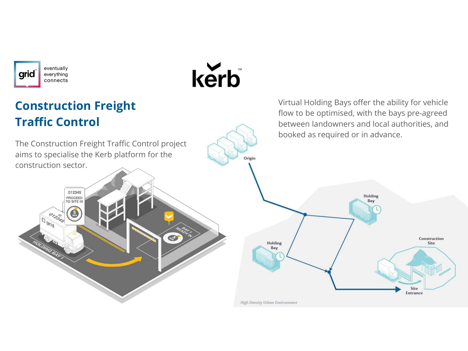



Origin

#### **Construction Freight Traffic Control**

012345

PROCEED TO SITE IN

 $\bullet$ 

OT32RS

DING BAY

**Darid** 

The Construction Freight Traffic Control project aims to specialise the Kerb platform for the construction sector.

Virtual Holding Bays offer the ability for vehicle flow to be optimised, with the bays pre -agreed between landowners and local authorities, and booked as required or in advance.